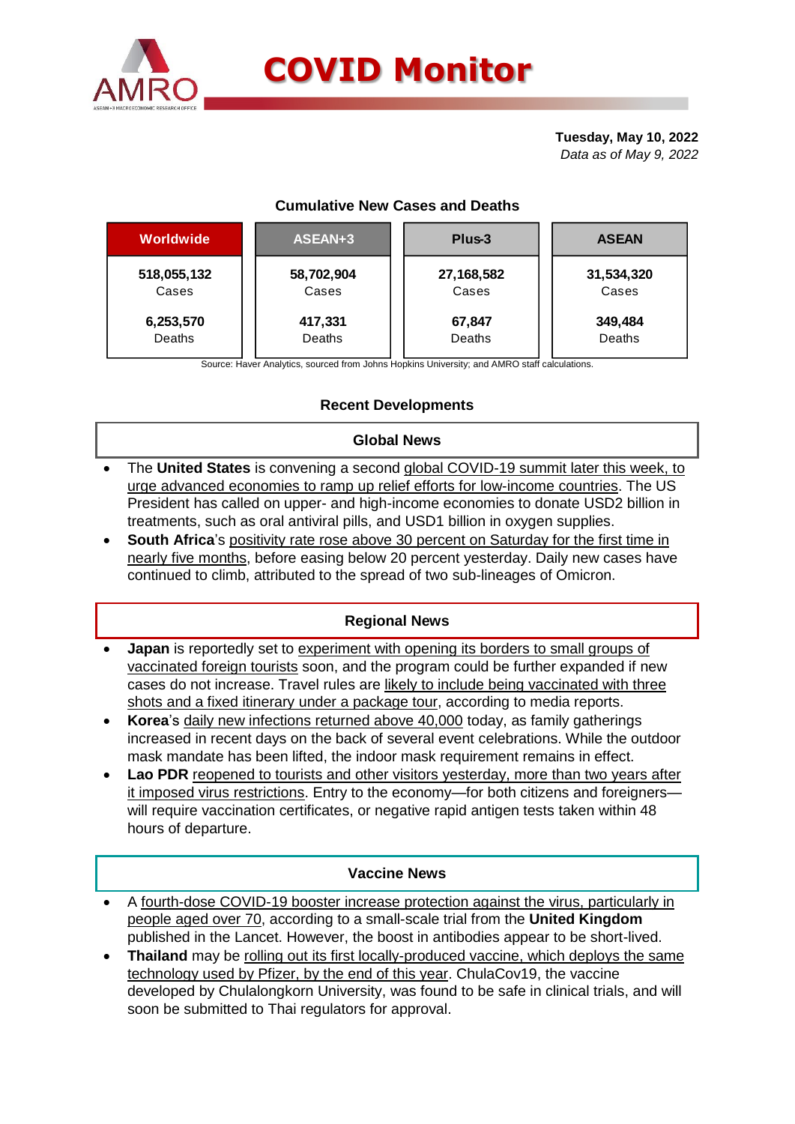

# **COVID Monitor**

**Tuesday, May 10, 2022** *Data as of May 9, 2022*

# **Cumulative New Cases and Deaths**

| Worldwide   | ASEAN+3    | Plus-3     | <b>ASEAN</b> |
|-------------|------------|------------|--------------|
| 518,055,132 | 58,702,904 | 27,168,582 | 31,534,320   |
| Cases       | Cases      | Cases      | Cases        |
| 6,253,570   | 417,331    | 67,847     | 349,484      |
| Deaths      | Deaths     | Deaths     | Deaths       |

Source: Haver Analytics, sourced from Johns Hopkins University; and AMRO staff calculations.

# **Recent Developments**

## **Global News**

- The **United States** is convening a second global COVID-19 summit later this week, to urge advanced economies to ramp up relief efforts for low-income countries. The US President has called on upper- and high-income economies to donate USD2 billion in treatments, such as oral antiviral pills, and USD1 billion in oxygen supplies.
- **South Africa**'s positivity rate rose above 30 percent on Saturday for the first time in nearly five months, before easing below 20 percent yesterday. Daily new cases have continued to climb, attributed to the spread of two sub-lineages of Omicron.

## **Regional News**

- **Japan** is reportedly set to experiment with opening its borders to small groups of vaccinated foreign tourists soon, and the program could be further expanded if new cases do not increase. Travel rules are likely to include being vaccinated with three shots and a fixed itinerary under a package tour, according to media reports.
- **Korea**'s daily new infections returned above 40,000 today, as family gatherings increased in recent days on the back of several event celebrations. While the outdoor mask mandate has been lifted, the indoor mask requirement remains in effect.
- **Lao PDR** reopened to tourists and other visitors yesterday, more than two years after it imposed virus restrictions. Entry to the economy—for both citizens and foreigners will require vaccination certificates, or negative rapid antigen tests taken within 48 hours of departure.

#### **Vaccine News**

- A fourth-dose COVID-19 booster increase protection against the virus, particularly in people aged over 70, according to a small-scale trial from the **United Kingdom** published in the Lancet. However, the boost in antibodies appear to be short-lived.
- **Thailand** may be rolling out its first locally-produced vaccine, which deploys the same technology used by Pfizer, by the end of this year. ChulaCov19, the vaccine developed by Chulalongkorn University, was found to be safe in clinical trials, and will soon be submitted to Thai regulators for approval.